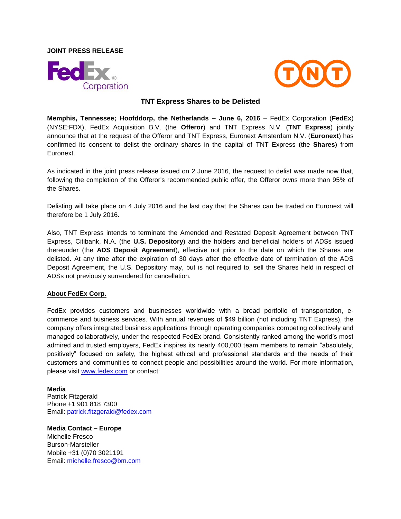**JOINT PRESS RELEASE**





## **TNT Express Shares to be Delisted**

**Memphis, Tennessee; Hoofddorp, the Netherlands – June 6, 2016** – FedEx Corporation (**FedEx**) (NYSE:FDX), FedEx Acquisition B.V. (the **Offeror**) and TNT Express N.V. (**TNT Express**) jointly announce that at the request of the Offeror and TNT Express, Euronext Amsterdam N.V. (**Euronext**) has confirmed its consent to delist the ordinary shares in the capital of TNT Express (the **Shares**) from Euronext.

As indicated in the joint press release issued on 2 June 2016, the request to delist was made now that, following the completion of the Offeror's recommended public offer, the Offeror owns more than 95% of the Shares.

Delisting will take place on 4 July 2016 and the last day that the Shares can be traded on Euronext will therefore be 1 July 2016.

Also, TNT Express intends to terminate the Amended and Restated Deposit Agreement between TNT Express, Citibank, N.A. (the **U.S. Depository**) and the holders and beneficial holders of ADSs issued thereunder (the **ADS Deposit Agreement**), effective not prior to the date on which the Shares are delisted. At any time after the expiration of 30 days after the effective date of termination of the ADS Deposit Agreement, the U.S. Depository may, but is not required to, sell the Shares held in respect of ADSs not previously surrendered for cancellation.

## **About FedEx Corp.**

FedEx provides customers and businesses worldwide with a broad portfolio of transportation, ecommerce and business services. With annual revenues of \$49 billion (not including TNT Express), the company offers integrated business applications through operating companies competing collectively and managed collaboratively, under the respected FedEx brand. Consistently ranked among the world's most admired and trusted employers, FedEx inspires its nearly 400,000 team members to remain "absolutely, positively" focused on safety, the highest ethical and professional standards and the needs of their customers and communities to connect people and possibilities around the world. For more information, please visit [www.fedex.com](http://www.fedex.com/) or contact:

**Media**

Patrick Fitzgerald Phone +1 901 818 7300 Email: [patrick.fitzgerald@fedex.com](mailto:patrick.fitzgerald@fedex.com)

**Media Contact – Europe**

Michelle Fresco Burson-Marsteller Mobile +31 (0)70 3021191 Email: [michelle.fresco@bm.com](mailto:michelle.fresco@bm.com)